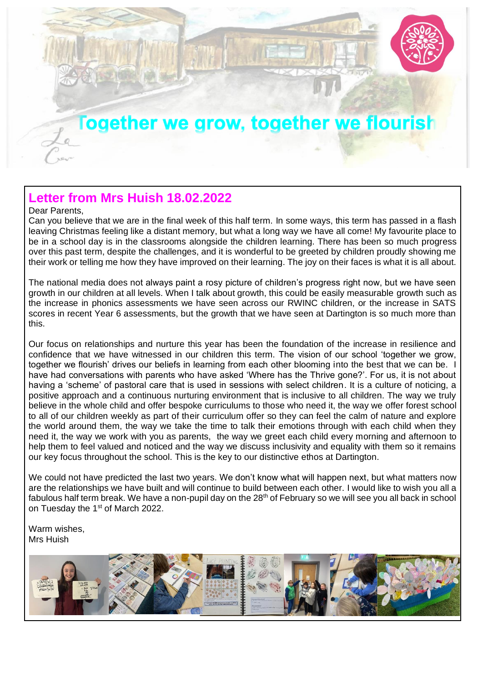

#### **Letter from Mrs Huish 18.02.2022**

#### Dear Parents,

Can you believe that we are in the final week of this half term. In some ways, this term has passed in a flash leaving Christmas feeling like a distant memory, but what a long way we have all come! My favourite place to be in a school day is in the classrooms alongside the children learning. There has been so much progress over this past term, despite the challenges, and it is wonderful to be greeted by children proudly showing me their work or telling me how they have improved on their learning. The joy on their faces is what it is all about.

The national media does not always paint a rosy picture of children's progress right now, but we have seen growth in our children at all levels. When I talk about growth, this could be easily measurable growth such as the increase in phonics assessments we have seen across our RWINC children, or the increase in SATS scores in recent Year 6 assessments, but the growth that we have seen at Dartington is so much more than this.

Our focus on relationships and nurture this year has been the foundation of the increase in resilience and confidence that we have witnessed in our children this term. The vision of our school 'together we grow, together we flourish' drives our beliefs in learning from each other blooming into the best that we can be. I have had conversations with parents who have asked 'Where has the Thrive gone?'. For us, it is not about having a 'scheme' of pastoral care that is used in sessions with select children. It is a culture of noticing, a positive approach and a continuous nurturing environment that is inclusive to all children. The way we truly believe in the whole child and offer bespoke curriculums to those who need it, the way we offer forest school to all of our children weekly as part of their curriculum offer so they can feel the calm of nature and explore the world around them, the way we take the time to talk their emotions through with each child when they need it, the way we work with you as parents, the way we greet each child every morning and afternoon to help them to feel valued and noticed and the way we discuss inclusivity and equality with them so it remains our key focus throughout the school. This is the key to our distinctive ethos at Dartington.

We could not have predicted the last two years. We don't know what will happen next, but what matters now are the relationships we have built and will continue to build between each other. I would like to wish you all a fabulous half term break. We have a non-pupil day on the 28<sup>th</sup> of February so we will see you all back in school on Tuesday the 1<sup>st</sup> of March 2022.

Warm wishes, Mrs Huish

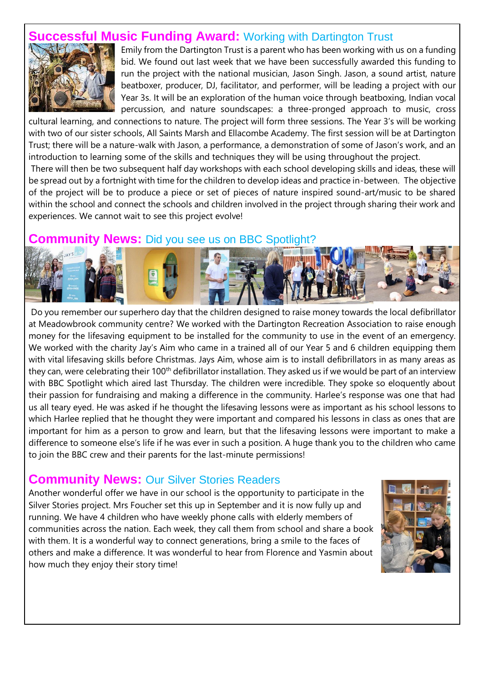### **SSful Music Funding Award:** Working with Dartington Trust



Emily from the Dartington Trust is a parent who has been working with us on a funding bid. We found out last week that we have been successfully awarded this funding to run the project with the national musician, Jason Singh. Jason, a sound artist, nature beatboxer, producer, DJ, facilitator, and performer, will be leading a project with our Year 3s. It will be an exploration of the human voice through beatboxing, Indian vocal percussion, and nature soundscapes: a three-pronged approach to music, cross

cultural learning, and connections to nature. The project will form three sessions. The Year 3's will be working with two of our sister schools, All Saints Marsh and Ellacombe Academy. The first session will be at Dartington Trust; there will be a nature-walk with Jason, a performance, a demonstration of some of Jason's work, and an introduction to learning some of the skills and techniques they will be using throughout the project.

There will then be two subsequent half day workshops with each school developing skills and ideas, these will be spread out by a fortnight with time for the children to develop ideas and practice in-between. The objective of the project will be to produce a piece or set of pieces of nature inspired sound-art/music to be shared within the school and connect the schools and children involved in the project through sharing their work and experiences. We cannot wait to see this project evolve!

#### **Community News:** Did you see us on BBC Spotlight?



Do you remember our superhero day that the children designed to raise money towards the local defibrillator at Meadowbrook community centre? We worked with the Dartington Recreation Association to raise enough money for the lifesaving equipment to be installed for the community to use in the event of an emergency. We worked with the charity Jay's Aim who came in a trained all of our Year 5 and 6 children equipping them with vital lifesaving skills before Christmas. Jays Aim, whose aim is to install defibrillators in as many areas as they can, were celebrating their 100<sup>th</sup> defibrillator installation. They asked us if we would be part of an interview with BBC Spotlight which aired last Thursday. The children were incredible. They spoke so eloquently about their passion for fundraising and making a difference in the community. Harlee's response was one that had us all teary eyed. He was asked if he thought the lifesaving lessons were as important as his school lessons to which Harlee replied that he thought they were important and compared his lessons in class as ones that are important for him as a person to grow and learn, but that the lifesaving lessons were important to make a difference to someone else's life if he was ever in such a position. A huge thank you to the children who came to join the BBC crew and their parents for the last-minute permissions!

#### **Community News:** Our Silver Stories Readers

Another wonderful offer we have in our school is the opportunity to participate in the Silver Stories project. Mrs Foucher set this up in September and it is now fully up and running. We have 4 children who have weekly phone calls with elderly members of communities across the nation. Each week, they call them from school and share a book with them. It is a wonderful way to connect generations, bring a smile to the faces of others and make a difference. It was wonderful to hear from Florence and Yasmin about how much they enjoy their story time!

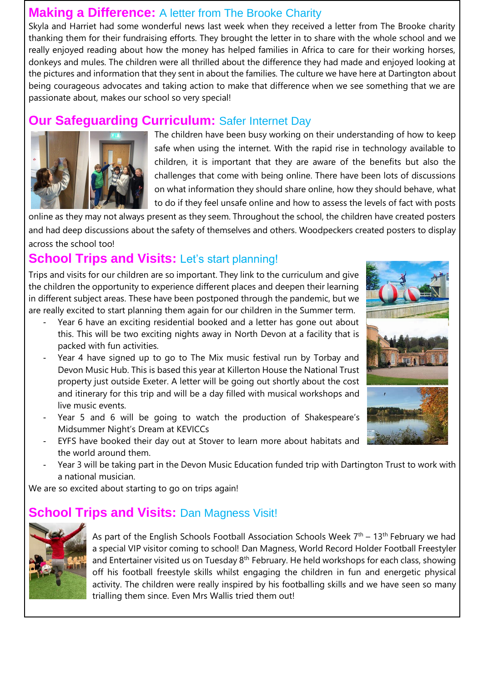#### **Making a Difference:** A letter from The Brooke Charity

Skyla and Harriet had some wonderful news last week when they received a letter from The Brooke charity thanking them for their fundraising efforts. They brought the letter in to share with the whole school and we really enjoyed reading about how the money has helped families in Africa to care for their working horses, donkeys and mules. The children were all thrilled about the difference they had made and enjoyed looking at the pictures and information that they sent in about the families. The culture we have here at Dartington about being courageous advocates and taking action to make that difference when we see something that we are passionate about, makes our school so very special!

## **Our Safeguarding Curriculum:** Safer Internet Day



The children have been busy working on their understanding of how to keep safe when using the internet. With the rapid rise in technology available to children, it is important that they are aware of the benefits but also the challenges that come with being online. There have been lots of discussions on what information they should share online, how they should behave, what to do if they feel unsafe online and how to assess the levels of fact with posts

online as they may not always present as they seem. Throughout the school, the children have created posters and had deep discussions about the safety of themselves and others. Woodpeckers created posters to display across the school too!

## **School Trips and Visits:** Let's start planning!

Trips and visits for our children are so important. They link to the curriculum and give the children the opportunity to experience different places and deepen their learning in different subject areas. These have been postponed through the pandemic, but we are really excited to start planning them again for our children in the Summer term.

- Year 6 have an exciting residential booked and a letter has gone out about this. This will be two exciting nights away in North Devon at a facility that is packed with fun activities.
- Year 4 have signed up to go to The Mix music festival run by Torbay and Devon Music Hub. This is based this year at Killerton House the National Trust property just outside Exeter. A letter will be going out shortly about the cost and itinerary for this trip and will be a day filled with musical workshops and live music events.
- Year 5 and 6 will be going to watch the production of Shakespeare's Midsummer Night's Dream at KEVICCs
- EYFS have booked their day out at Stover to learn more about habitats and the world around them.
- Year 3 will be taking part in the Devon Music Education funded trip with Dartington Trust to work with a national musician.

We are so excited about starting to go on trips again!

## **School Trips and Visits: Dan Magness Visit!**



As part of the English Schools Football Association Schools Week  $7<sup>th</sup>$  – 13<sup>th</sup> February we had a special VIP visitor coming to school! Dan Magness, World Record Holder Football Freestyler and Entertainer visited us on Tuesday 8<sup>th</sup> February. He held workshops for each class, showing off his football freestyle skills whilst engaging the children in fun and energetic physical activity. The children were really inspired by his footballing skills and we have seen so many trialling them since. Even Mrs Wallis tried them out!

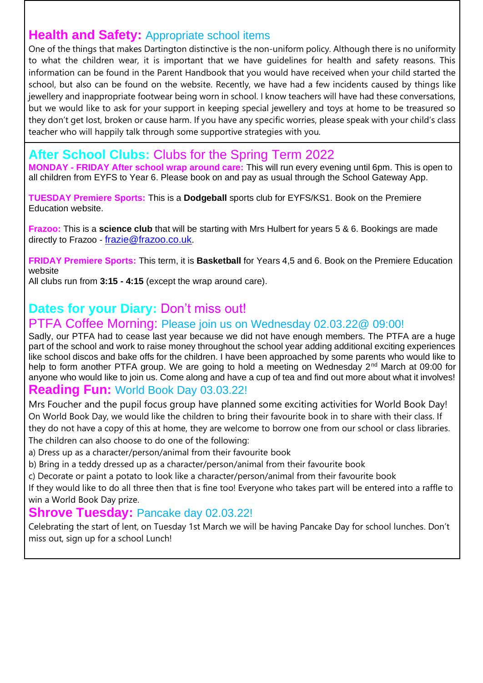## **Health and Safety:** Appropriate school items

One of the things that makes Dartington distinctive is the non-uniform policy. Although there is no uniformity to what the children wear, it is important that we have guidelines for health and safety reasons. This information can be found in the Parent Handbook that you would have received when your child started the school, but also can be found on the website. Recently, we have had a few incidents caused by things like jewellery and inappropriate footwear being worn in school. I know teachers will have had these conversations, but we would like to ask for your support in keeping special jewellery and toys at home to be treasured so they don't get lost, broken or cause harm. If you have any specific worries, please speak with your child's class teacher who will happily talk through some supportive strategies with you.

### **After School Clubs:** Clubs for the Spring Term 2022

**MONDAY - FRIDAY After school wrap around care:** This will run every evening until 6pm. This is open to all children from EYFS to Year 6. Please book on and pay as usual through the School Gateway App.

**TUESDAY Premiere Sports:** This is a **Dodgeball** sports club for EYFS/KS1. Book on the Premiere Education website.

**Frazoo:** This is a **science club** that will be starting with Mrs Hulbert for years 5 & 6. Bookings are made directly to Frazoo - [frazie@frazoo.co.uk](mailto:frazie@frazoo.co.uk).

**FRIDAY Premiere Sports:** This term, it is **Basketball** for Years 4,5 and 6. Book on the Premiere Education website

All clubs run from **3:15 - 4:15** (except the wrap around care).

#### **Dates for your Diary:** Don't miss out!

#### PTFA Coffee Morning: Please join us on Wednesday 02.03.22@ 09:00!

Sadly, our PTFA had to cease last year because we did not have enough members. The PTFA are a huge part of the school and work to raise money throughout the school year adding additional exciting experiences like school discos and bake offs for the children. I have been approached by some parents who would like to help to form another PTFA group. We are going to hold a meeting on Wednesday 2<sup>nd</sup> March at 09:00 for anyone who would like to join us. Come along and have a cup of tea and find out more about what it involves!

#### **Reading Fun:** World Book Day 03.03.22!

Mrs Foucher and the pupil focus group have planned some exciting activities for World Book Day! On World Book Day, we would like the children to bring their favourite book in to share with their class. If they do not have a copy of this at home, they are welcome to borrow one from our school or class libraries. The children can also choose to do one of the following:

a) Dress up as a character/person/animal from their favourite book

b) Bring in a teddy dressed up as a character/person/animal from their favourite book

c) Decorate or paint a potato to look like a character/person/animal from their favourite book

If they would like to do all three then that is fine too! Everyone who takes part will be entered into a raffle to win a World Book Day prize.

#### **Shrove Tuesday:** Pancake day 02.03.22!

Celebrating the start of lent, on Tuesday 1st March we will be having Pancake Day for school lunches. Don't miss out, sign up for a school Lunch!